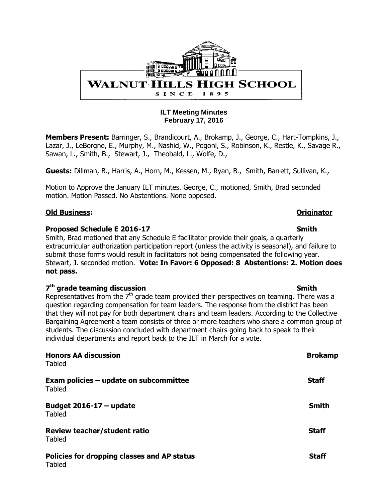

#### **ILT Meeting Minutes February 17, 2016**

**Members Present:** Barringer, S., Brandicourt, A., Brokamp, J., George, C., Hart-Tompkins, J., Lazar, J., LeBorgne, E., Murphy, M., Nashid, W., Pogoni, S., Robinson, K., Restle, K., Savage R., Sawan, L., Smith, B., Stewart, J., Theobald, L., Wolfe, D.,

**Guests:** Dillman, B., Harris, A., Horn, M., Kessen, M., Ryan, B., Smith, Barrett, Sullivan, K.,

Motion to Approve the January ILT minutes. George, C., motioned, Smith, Brad seconded motion. Motion Passed. No Abstentions. None opposed.

#### **Old Business: Originator**

#### **Proposed Schedule E 2016-17** Smith

Smith, Brad motioned that any Schedule E facilitator provide their goals, a quarterly extracurricular authorization participation report (unless the activity is seasonal), and failure to submit those forms would result in facilitators not being compensated the following year. Stewart, J. seconded motion. **Vote: In Favor: 6 Opposed: 8 Abstentions: 2. Motion does not pass.** 

#### **7<sup>th</sup> grade teaming discussion Smith** Smith

Representatives from the  $7<sup>th</sup>$  grade team provided their perspectives on teaming. There was a question regarding compensation for team leaders. The response from the district has been that they will not pay for both department chairs and team leaders. According to the Collective Bargaining Agreement a team consists of three or more teachers who share a common group of students. The discussion concluded with department chairs going back to speak to their individual departments and report back to the ILT in March for a vote.

| <b>Honors AA discussion</b><br><b>Tabled</b>                 | <b>Brokamp</b> |
|--------------------------------------------------------------|----------------|
| Exam policies - update on subcommittee<br><b>Tabled</b>      | <b>Staff</b>   |
| Budget $2016 - 17 -$ update<br><b>Tabled</b>                 | <b>Smith</b>   |
| <b>Review teacher/student ratio</b><br><b>Tabled</b>         | <b>Staff</b>   |
| Policies for dropping classes and AP status<br><b>Tabled</b> | <b>Staff</b>   |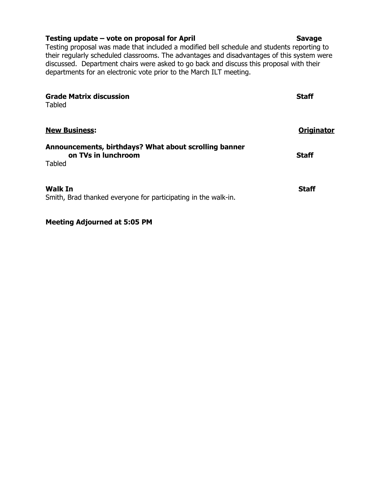#### **Testing update – vote on proposal for April Savage Savage Savage**

Testing proposal was made that included a modified bell schedule and students reporting to their regularly scheduled classrooms. The advantages and disadvantages of this system were discussed. Department chairs were asked to go back and discuss this proposal with their departments for an electronic vote prior to the March ILT meeting.

| <b>Grade Matrix discussion</b><br>Tabled                                     | <b>Staff</b> |
|------------------------------------------------------------------------------|--------------|
| <b>New Business:</b>                                                         | Originator   |
| Announcements, birthdays? What about scrolling banner<br>on TVs in lunchroom | <b>Staff</b> |
| Tabled                                                                       |              |
| <b>Walk In</b>                                                               | <b>Staff</b> |
| Smith, Brad thanked everyone for participating in the walk-in.               |              |

**Meeting Adjourned at 5:05 PM**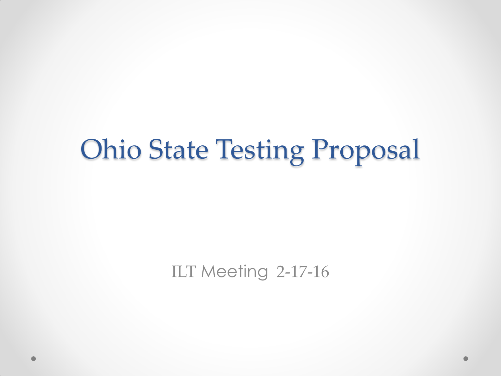## Ohio State Testing Proposal

ILT Meeting 2-17-16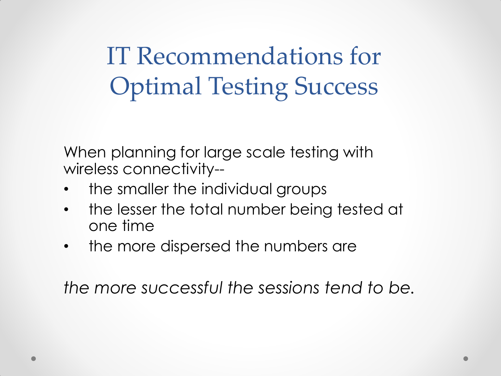IT Recommendations for Optimal Testing Success

When planning for large scale testing with wireless connectivity--

- the smaller the individual groups
- the lesser the total number being tested at one time
- the more dispersed the numbers are

*the more successful the sessions tend to be.*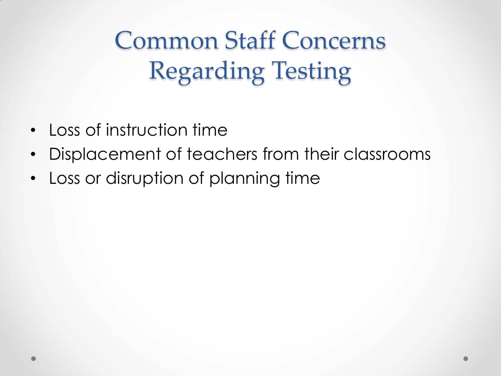Common Staff Concerns Regarding Testing

- Loss of instruction time
- Displacement of teachers from their classrooms
- Loss or disruption of planning time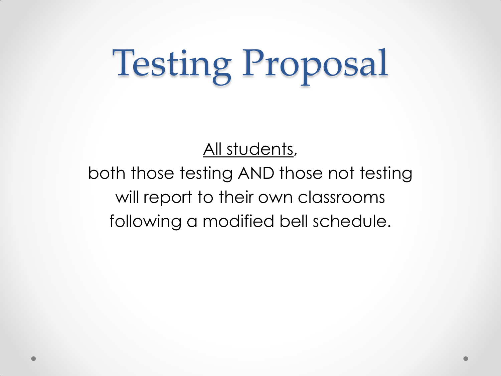# Testing Proposal

All students,

### both those testing AND those not testing will report to their own classrooms following a modified bell schedule.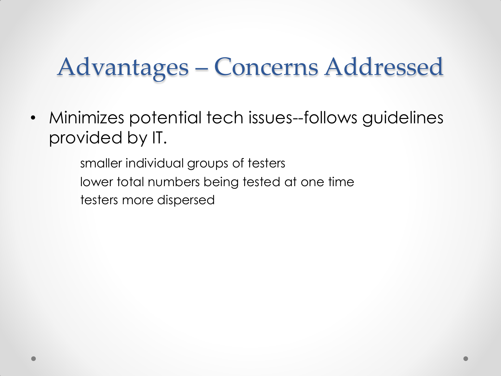• Minimizes potential tech issues--follows guidelines provided by IT.

> smaller individual groups of testers lower total numbers being tested at one time testers more dispersed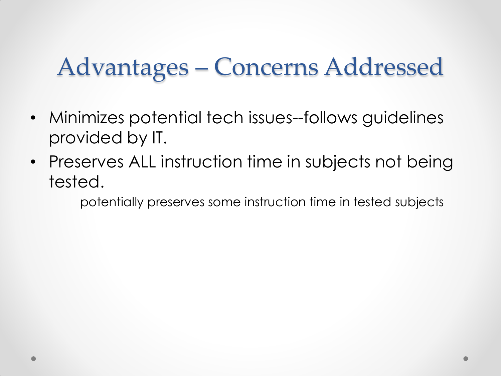- Minimizes potential tech issues--follows guidelines provided by IT.
- Preserves ALL instruction time in subjects not being tested.

potentially preserves some instruction time in tested subjects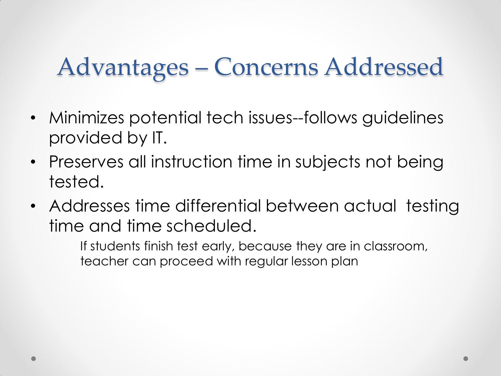- Minimizes potential tech issues--follows guidelines provided by IT.
- Preserves all instruction time in subjects not being tested.
- Addresses time differential between actual testing time and time scheduled.

If students finish test early, because they are in classroom, teacher can proceed with regular lesson plan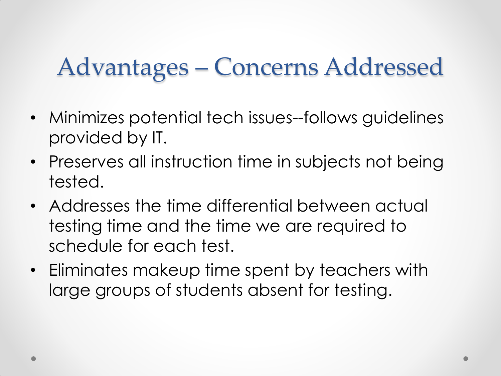- Minimizes potential tech issues--follows guidelines provided by IT.
- Preserves all instruction time in subjects not being tested.
- Addresses the time differential between actual testing time and the time we are required to schedule for each test.
- Eliminates makeup time spent by teachers with large groups of students absent for testing.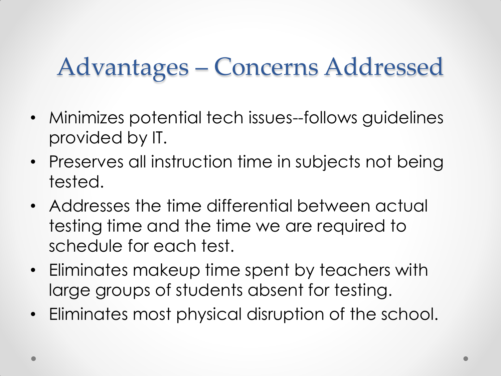- Minimizes potential tech issues--follows guidelines provided by IT.
- Preserves all instruction time in subjects not being tested.
- Addresses the time differential between actual testing time and the time we are required to schedule for each test.
- Eliminates makeup time spent by teachers with large groups of students absent for testing.
- Eliminates most physical disruption of the school.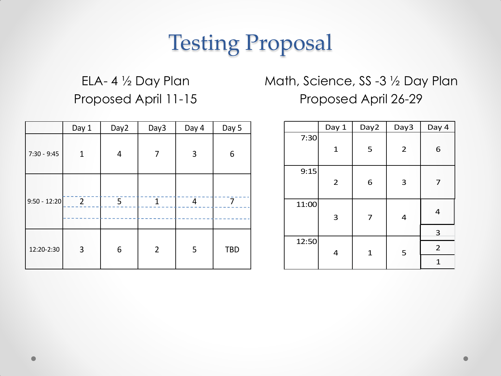### Testing Proposal

### ELA- 4 ½ Day Plan Proposed April 11-15

### Math, Science, SS -3 ½ Day Plan Proposed April 26-29

|                | Day 1          | Day <sub>2</sub> | Day3           | Day 4 | Day 5      |
|----------------|----------------|------------------|----------------|-------|------------|
| $7:30 - 9:45$  | $\mathbf{1}$   | 4                | 7              | 3     | 6          |
| $9:50 - 12:20$ | $\overline{2}$ | 5                | $\mathbf{1}$   | 4     | 7          |
| 12:20-2:30     | 3              | 6                | $\overline{2}$ | 5     | <b>TBD</b> |

|       | Day 1          | Day2         | Day3           | Day 4          |
|-------|----------------|--------------|----------------|----------------|
| 7:30  | $\mathbf{1}$   | 5            | $\overline{2}$ | 6              |
| 9:15  | $\overline{2}$ | 6            | 3              | 7              |
| 11:00 | 3              | 7            | 4              | 4              |
|       |                |              |                | 3              |
| 12:50 | 4              | $\mathbf{1}$ | 5              | $\overline{2}$ |
|       |                |              |                | $\mathbf{1}$   |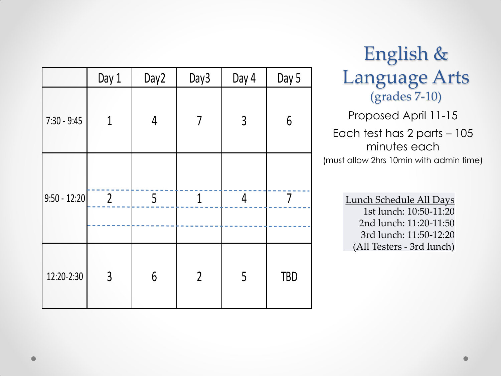|                | Day 1          | Day2            | Day3           | Day 4          | Day 5      |
|----------------|----------------|-----------------|----------------|----------------|------------|
| $7:30 - 9:45$  | 1              | $\overline{4}$  | $\overline{7}$ | $\mathfrak{Z}$ | $6\,$      |
| $9:50 - 12:20$ | $\overline{2}$ | 5               | $\mathbf{1}$   | 4              | 7          |
| 12:20-2:30     | $\overline{3}$ | $6\phantom{.}6$ | $\overline{2}$ | 5              | <b>TBD</b> |

English & Language Arts (grades 7-10)

Proposed April 11-15

Each test has 2 parts – 105 minutes each (must allow 2hrs 10min with admin time)

> Lunch Schedule All Days 1st lunch: 10:50-11:20 2nd lunch: 11:20-11:50 3rd lunch: 11:50-12:20 (All Testers - 3rd lunch)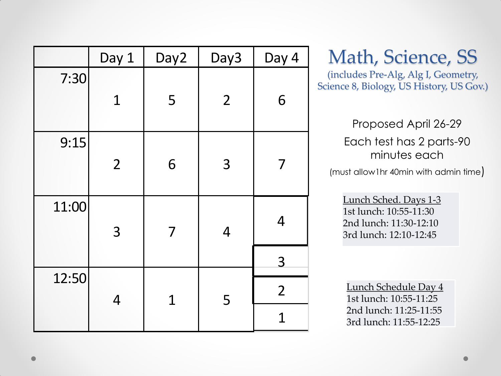|       | Day 1          | Day <sub>2</sub> | Day3           | Day 4          |
|-------|----------------|------------------|----------------|----------------|
| 7:30  | $\mathbf 1$    | 5                | $\overline{2}$ | 6              |
|       |                |                  |                |                |
| 9:15  |                |                  |                |                |
|       | $\overline{2}$ | 6                | 3              | 7              |
| 11:00 |                |                  |                | $\overline{4}$ |
|       | 3              | 7                | $\overline{4}$ |                |
|       |                |                  |                | 3              |
| 12:50 | 4              | $\mathbf 1$      | 5              | $\overline{2}$ |
|       |                |                  |                | $\mathbf 1$    |

### Math, Science, SS

(includes Pre-Alg, Alg I, Geometry, Science 8, Biology, US History, US Gov.)

#### Proposed April 26-29

Each test has 2 parts-90 minutes each

(must allow1hr 40min with admin time)

Lunch Sched. Days 1-3 1st lunch: 10:55-11:30 2nd lunch: 11:30-12:10 3rd lunch: 12:10-12:45

Lunch Schedule Day 4 1st lunch: 10:55-11:25 2nd lunch: 11:25-11:55 3rd lunch: 11:55-12:25